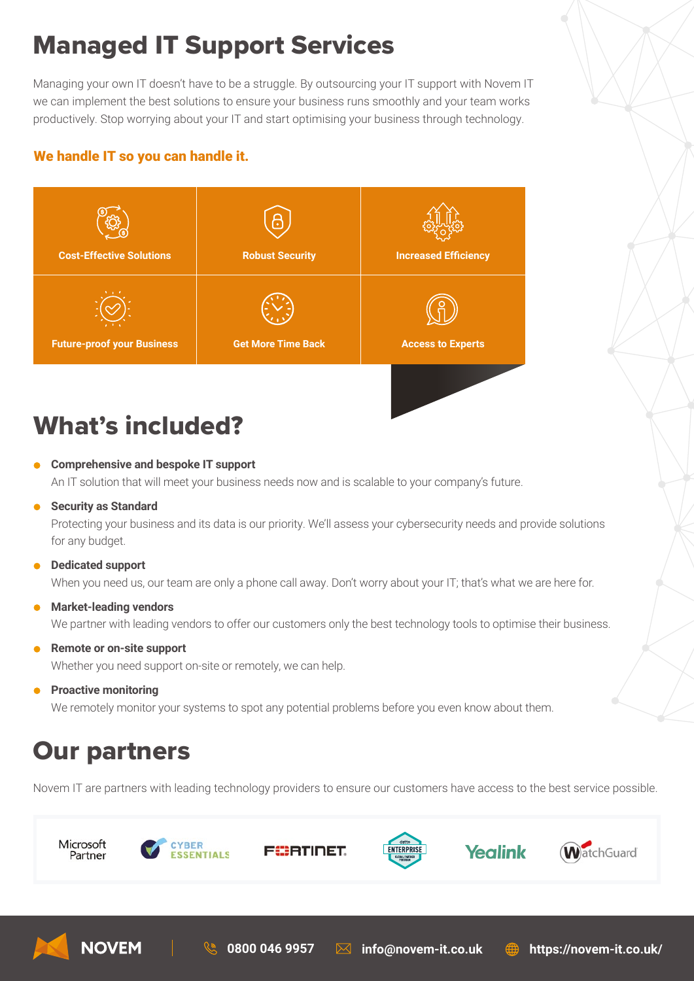# Managed IT Support Services

Managing your own IT doesn't have to be a struggle. By outsourcing your IT support with Novem IT we can implement the best solutions to ensure your business runs smoothly and your team works productively. Stop worrying about your IT and start optimising your business through technology.

### We handle IT so you can handle it.



## What's included?

- **Comprehensive and bespoke IT support** An IT solution that will meet your business needs now and is scalable to your company's future.
- **•** Security as Standard

 Protecting your business and its data is our priority. We'll assess your cybersecurity needs and provide solutions for any budget.

**Dedicated support**

When you need us, our team are only a phone call away. Don't worry about your IT; that's what we are here for.

**Market-leading vendors**

We partner with leading vendors to offer our customers only the best technology tools to optimise their business.

**Remote or on-site support**

Whether you need support on-site or remotely, we can help.

**•** Proactive monitoring

We remotely monitor your systems to spot any potential problems before you even know about them.

### Our partners

**NOVEM** 

Novem IT are partners with leading technology providers to ensure our customers have access to the best service possible.